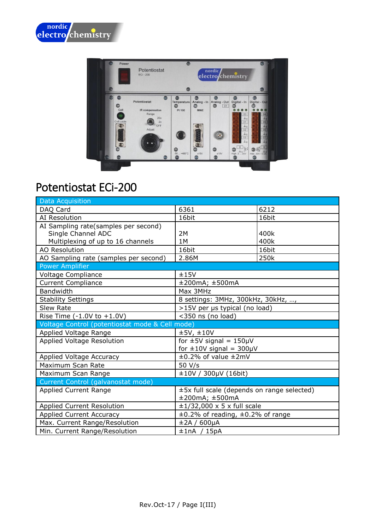



## Potentiostat ECi-200

| <b>Data Acquisition</b>                         |                                            |       |  |
|-------------------------------------------------|--------------------------------------------|-------|--|
| DAQ Card                                        | 6361                                       | 6212  |  |
| AI Resolution                                   | 16bit                                      | 16bit |  |
| AI Sampling rate(samples per second)            |                                            |       |  |
| Single Channel ADC                              | 2M                                         | 400k  |  |
| Multiplexing of up to 16 channels               | 1M                                         | 400k  |  |
| <b>AO Resolution</b>                            | 16bit                                      | 16bit |  |
| AO Sampling rate (samples per second)           | 2.86M                                      | 250k  |  |
| <b>Power Amplifier</b>                          |                                            |       |  |
| <b>Voltage Compliance</b>                       | ±15V                                       |       |  |
| <b>Current Compliance</b>                       | ±200mA; ±500mA                             |       |  |
| <b>Bandwidth</b>                                | Max 3MHz                                   |       |  |
| Stability Settings                              | 8 settings: 3MHz, 300kHz, 30kHz, ,         |       |  |
| Slew Rate                                       | >15V per µs typical (no load)              |       |  |
| Rise Time $(-1.0V \text{ to } +1.0V)$           | <350 ns (no load)                          |       |  |
| Voltage Control (potentiostat mode & Cell mode) |                                            |       |  |
| Applied Voltage Range                           | ±5V, ±10V                                  |       |  |
| <b>Applied Voltage Resolution</b>               | for $\pm$ 5V signal = 150µV                |       |  |
|                                                 | for $\pm 10V$ signal = 300µV               |       |  |
| Applied Voltage Accuracy                        | $\pm 0.2\%$ of value $\pm 2$ mV            |       |  |
| Maximum Scan Rate                               | 50 V/s                                     |       |  |
| Maximum Scan Range                              | ±10V / 300µV (16bit)                       |       |  |
| Current Control (galvanostat mode)              |                                            |       |  |
| <b>Applied Current Range</b>                    | ±5x full scale (depends on range selected) |       |  |
|                                                 | $\pm 200$ mA; $\pm 500$ mA                 |       |  |
| Applied Current Resolution                      | $\pm$ 1/32,000 x 5 x full scale            |       |  |
| <b>Applied Current Accuracy</b>                 | ±0.2% of reading, ±0.2% of range           |       |  |
| Max. Current Range/Resolution                   | $\pm$ 2A / 600µA                           |       |  |
| Min. Current Range/Resolution                   | ±1nA / 15pA                                |       |  |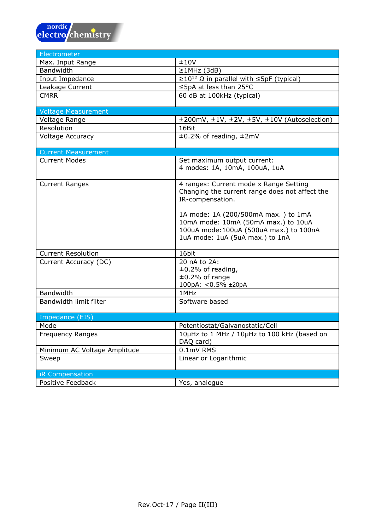| Electrometer                 |                                                                          |  |
|------------------------------|--------------------------------------------------------------------------|--|
| Max. Input Range             | ±10V                                                                     |  |
| Bandwidth                    | $\geq$ 1MHz (3dB)                                                        |  |
| Input Impedance              | $\geq$ 10 <sup>12</sup> Ω in parallel with $\leq$ 5pF (typical)          |  |
| Leakage Current              | ≤5pA at less than 25°C                                                   |  |
| <b>CMRR</b>                  | 60 dB at 100kHz (typical)                                                |  |
|                              |                                                                          |  |
| <b>Voltage Measurement</b>   |                                                                          |  |
| Voltage Range                | $\pm 200$ mV, $\pm 1V$ , $\pm 2V$ , $\pm 5V$ , $\pm 10V$ (Autoselection) |  |
| Resolution                   | 16Bit                                                                    |  |
| <b>Voltage Accuracy</b>      | $\pm 0.2\%$ of reading, $\pm 2$ mV                                       |  |
|                              |                                                                          |  |
| <b>Current Measurement</b>   |                                                                          |  |
| <b>Current Modes</b>         | Set maximum output current:                                              |  |
|                              | 4 modes: 1A, 10mA, 100uA, 1uA                                            |  |
|                              |                                                                          |  |
| <b>Current Ranges</b>        | 4 ranges: Current mode x Range Setting                                   |  |
|                              | Changing the current range does not affect the                           |  |
|                              | IR-compensation.                                                         |  |
|                              | 1A mode: 1A (200/500mA max.) to 1mA                                      |  |
|                              | 10mA mode: 10mA (50mA max.) to 10uA                                      |  |
|                              | 100uA mode: 100uA (500uA max.) to 100nA                                  |  |
|                              | 1uA mode: 1uA (5uA max.) to 1nA                                          |  |
|                              |                                                                          |  |
| <b>Current Resolution</b>    | 16bit                                                                    |  |
| Current Accuracy (DC)        | 20 nA to 2A:                                                             |  |
|                              | $\pm 0.2\%$ of reading,                                                  |  |
|                              | $±0.2\%$ of range                                                        |  |
|                              | 100pA: < 0.5% ± 20pA                                                     |  |
| <b>Bandwidth</b>             | 1MHz                                                                     |  |
| Bandwidth limit filter       | Software based                                                           |  |
|                              |                                                                          |  |
| Impedance (EIS)              |                                                                          |  |
| Mode                         | Potentiostat/Galvanostatic/Cell                                          |  |
| Frequency Ranges             | 10µHz to 1 MHz / 10µHz to 100 kHz (based on                              |  |
|                              | DAQ card)                                                                |  |
| Minimum AC Voltage Amplitude | 0.1mV RMS                                                                |  |
| Sweep                        | Linear or Logarithmic                                                    |  |
|                              |                                                                          |  |
| <b>iR Compensation</b>       |                                                                          |  |
| Positive Feedback            | Yes, analogue                                                            |  |